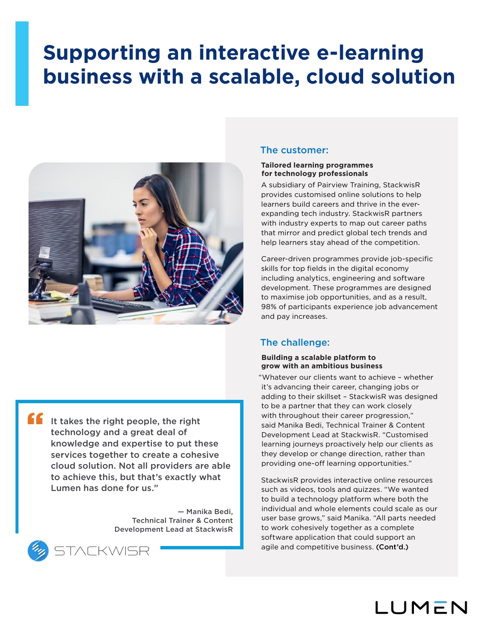# **Supporting an interactive e-learning business with a scalable, cloud solution**



It takes the right people, the right technology and a great deal of knowledge and expertise to put these services together to create a cohesive cloud solution. Not all providers are able to achieve this, but that's exactly what Lumen has done for us." "

> — Manika Bedi, Technical Trainer & Content Development Lead at StackwisR



## The customer:

### **Tailored learning programmes for technology professionals**

A subsidiary of Pairview Training, StackwisR provides customised online solutions to help learners build careers and thrive in the everexpanding tech industry. StackwisR partners with industry experts to map out career paths that mirror and predict global tech trends and help learners stay ahead of the competition.

Career-driven programmes provide job-specific skills for top fields in the digital economy including analytics, engineering and software development. These programmes are designed to maximise job opportunities, and as a result, 98% of participants experience job advancement and pay increases.

## The challenge:

## **Building a scalable platform to grow with an ambitious business**

"Whatever our clients want to achieve – whether it's advancing their career, changing jobs or adding to their skillset – StackwisR was designed to be a partner that they can work closely with throughout their career progression," said Manika Bedi, Technical Trainer & Content Development Lead at StackwisR. "Customised learning journeys proactively help our clients as they develop or change direction, rather than providing one-off learning opportunities."

StackwisR provides interactive online resources such as videos, tools and quizzes. "We wanted to build a technology platform where both the individual and whole elements could scale as our user base grows," said Manika. "All parts needed to work cohesively together as a complete software application that could support an agile and competitive business. (Cont'd.)

LUMEN